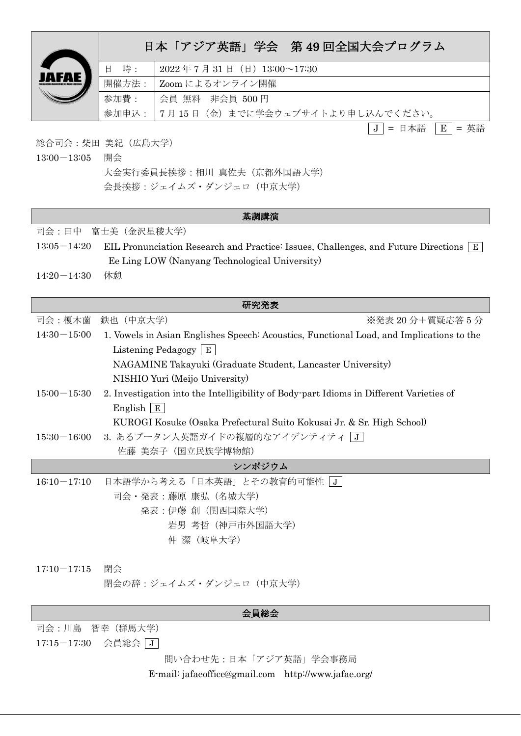|                    | 日本「アジア英語」学会 第 49 回全国大会プログラム                                                              |                                                                                         |  |
|--------------------|------------------------------------------------------------------------------------------|-----------------------------------------------------------------------------------------|--|
|                    | 時:<br>日                                                                                  | 2022年7月31日 (日) 13:00~17:30                                                              |  |
|                    | 開催方法:                                                                                    | Zoom によるオンライン開催                                                                         |  |
|                    | 参加費:                                                                                     | 会員 無料 非会員 500円                                                                          |  |
|                    | 参加申込:                                                                                    | 7月15日(金)までに学会ウェブサイトより申し込んでください。                                                         |  |
|                    |                                                                                          | $J \mid$<br>= 日本語   E   = 英語                                                            |  |
| 総合司会:柴田 美紀(広島大学)   |                                                                                          |                                                                                         |  |
| $13:00 - 13:05$    | 開会                                                                                       |                                                                                         |  |
|                    |                                                                                          | 大会実行委員長挨拶:相川 真佐夫(京都外国語大学)<br>会長挨拶:ジェイムズ・ダンジェロ (中京大学)                                    |  |
|                    |                                                                                          |                                                                                         |  |
| 基調講演               |                                                                                          |                                                                                         |  |
|                    | 司会:田中 富士美 (金沢星稜大学)                                                                       |                                                                                         |  |
| $13:05 - 14:20$    | EIL Pronunciation Research and Practice: Issues, Challenges, and Future Directions   E   |                                                                                         |  |
|                    |                                                                                          | Ee Ling LOW (Nanyang Technological University)                                          |  |
| $14:20 - 14:30$    | 休憩                                                                                       |                                                                                         |  |
| 研究発表               |                                                                                          |                                                                                         |  |
| 司会:榎木薗             | 鉄也 (中京大学)                                                                                | ※発表 20 分+質疑応答5分                                                                         |  |
| $14:30 - 15:00$    | 1. Vowels in Asian Englishes Speech: Acoustics, Functional Load, and Implications to the |                                                                                         |  |
|                    |                                                                                          | Listening Pedagogy $E$                                                                  |  |
|                    |                                                                                          | NAGAMINE Takayuki (Graduate Student, Lancaster University)                              |  |
|                    |                                                                                          | NISHIO Yuri (Meijo University)                                                          |  |
| $15:00 - 15:30$    |                                                                                          | 2. Investigation into the Intelligibility of Body-part Idioms in Different Varieties of |  |
|                    | English $ E $                                                                            |                                                                                         |  |
| $15:30 - 16:00$    | KUROGI Kosuke (Osaka Prefectural Suito Kokusai Jr. & Sr. High School)                    |                                                                                         |  |
|                    | 3. あるブータン人英語ガイドの複層的なアイデンティティ [J]<br>佐藤 美奈子 (国立民族学博物館)                                    |                                                                                         |  |
|                    |                                                                                          | シンポジウム                                                                                  |  |
| $16:10 - 17:10$    |                                                                                          | 日本語学から考える「日本英語」とその教育的可能性  J                                                             |  |
|                    |                                                                                          | 司会・発表:藤原 康弘 (名城大学)                                                                      |  |
|                    |                                                                                          | 発表:伊藤 創 (関西国際大学)                                                                        |  |
|                    |                                                                                          | 岩男 考哲 (神戸市外国語大学)                                                                        |  |
|                    |                                                                                          | 仲 潔(岐阜大学)                                                                               |  |
|                    |                                                                                          |                                                                                         |  |
| $17:10 - 17:15$    | 閉会                                                                                       | 閉会の辞: ジェイムズ・ダンジェロ (中京大学)                                                                |  |
|                    |                                                                                          |                                                                                         |  |
| 会員総会               |                                                                                          |                                                                                         |  |
| 司会:川島<br>智幸 (群馬大学) |                                                                                          |                                                                                         |  |
| $17:15 - 17:30$    | 会員総会 J                                                                                   |                                                                                         |  |
|                    |                                                                                          | 問い合わせ先:日本「アジア英語」学会事務局                                                                   |  |
|                    |                                                                                          | E-mail: jafaeoffice@gmail.com http://www.jafae.org/                                     |  |
|                    |                                                                                          |                                                                                         |  |